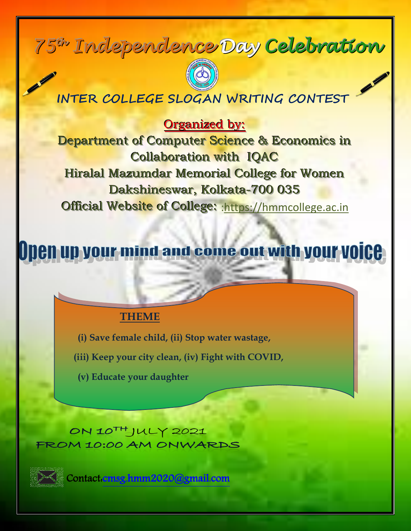# $75$ <sup>In</sup> Independence Day Celebration



## **INTER COLLEGE SLOGAN WRITING CONTEST**

Organized by:

Department of Computer Science & Economics in Collaboration with IQAC Hiralal Mazumdar Memorial College for Women Dakshineswar, Kolkata-700 035 Official Website of College: : https://hmmcollege.ac.in

# **Den up your mind and come out with your voice**

### **THEME**

**(i) Save female child, (ii) Stop water wastage,**

 **(iii) Keep your city clean, (iv) Fight with COVID,** 

**(v) Educate your daughter**

ON 10<sup>TH</sup> JULY 2021 FROM 10:00 AM ONWARDS



Contact[:cmsg.hmm2020@gmail.com](cmsg.hmm2020@gmail.com)